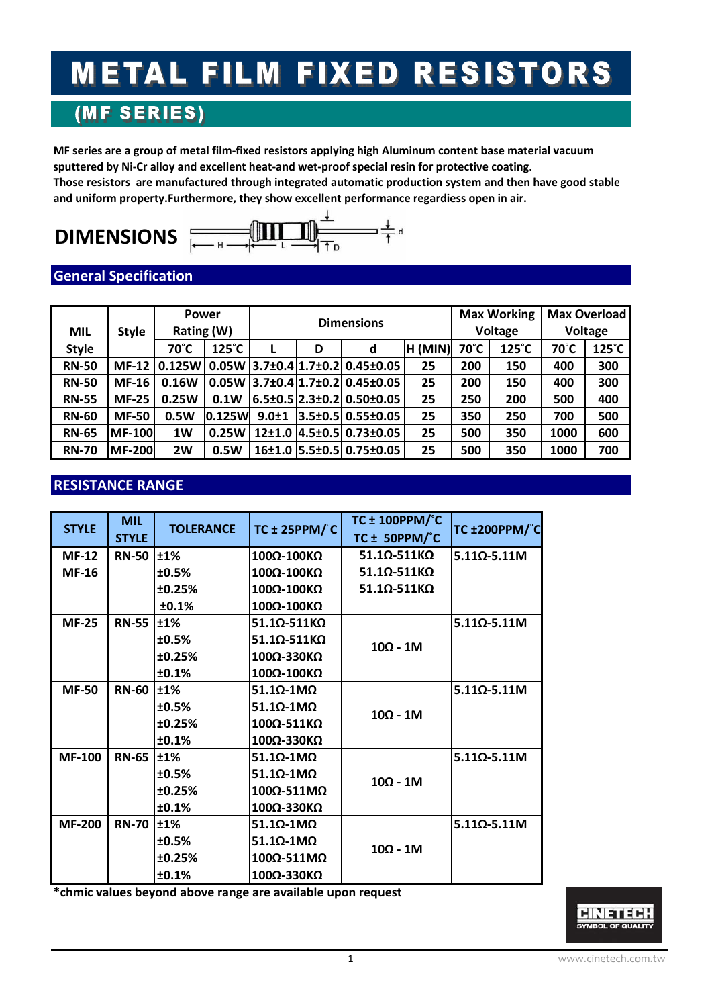# **METAL FILM FIXED RESISTORS**

## (MF SERIES)

MF series are a group of metal film-fixed resistors applying high Aluminum content base material vacuum sputtered by Ni-Cr alloy and excellent heat-and wet-proof special resin for protective coating. **Those resistors are manufactured through integrated automatic production system and then have good stable**

## **DIMENSIONS**



## **General Specification**

| <b>MIL</b>   | <b>Style</b>   | <b>Power</b><br>Rating (W) |                 | <b>Dimensions</b> |   |                                               | <b>Max Working</b><br>Voltage |      | Max Overload<br>Voltage |      |                 |
|--------------|----------------|----------------------------|-----------------|-------------------|---|-----------------------------------------------|-------------------------------|------|-------------------------|------|-----------------|
| <b>Style</b> |                | 70°C                       | $125^{\circ}$ C |                   | D | d                                             | H (MIN)                       | 70°C | $125^{\circ}$ C         | 70°C | $125^{\circ}$ C |
| <b>RN-50</b> | $MF-12$        | 0.125W                     |                 |                   |   | $0.05W$   3.7±0.4   1.7±0.2   0.45±0.05       | 25                            | 200  | 150                     | 400  | 300             |
| <b>RN-50</b> | $MF-16$        | 0.16W                      |                 |                   |   | $0.05W$   3.7±0.4   1.7±0.2   0.45±0.05       | 25                            | 200  | 150                     | 400  | 300             |
| <b>RN-55</b> | <b>MF-25</b>   | 0.25W                      | 0.1W            |                   |   | $6.5 \pm 0.5$  2.3 $\pm$ 0.2  0.50 $\pm$ 0.05 | 25                            | 250  | 200                     | 500  | 400             |
| <b>RN-60</b> | <b>MF-50</b>   | 0.5W                       | $0.125$ W       | $9.0 + 1$         |   | 3.5±0.5 0.55±0.05                             | 25                            | 350  | 250                     | 700  | 500             |
| <b>RN-65</b> | <b>IMF-100</b> | 1W                         | 0.25W           |                   |   | 12±1.0 4.5±0.5 0.73±0.05                      | 25                            | 500  | 350                     | 1000 | 600             |
| <b>RN-70</b> | <b>MF-200</b>  | 2W                         | 0.5W            |                   |   | 16±1.0 5.5±0.5 0.75±0.05                      | 25                            | 500  | 350                     | 1000 | 700             |

## **RESISTANCE RANGE**

| <b>STYLE</b>  | <b>MIL</b><br><b>STYLE</b> | <b>TOLERANCE</b> | TC $\pm$ 25PPM/ $\degree$ C     | <b>TC ± 100PPM/°C</b><br>TC $\pm$ 50PPM/ $^{\circ}$ C | TC ±200PPM/°C   |
|---------------|----------------------------|------------------|---------------------------------|-------------------------------------------------------|-----------------|
| $MF-12$       | <b>RN-50</b>               | ±1%              | 100Ω-100ΚΩ                      | $51.1\Omega - 511K\Omega$                             | $5.110 - 5.11M$ |
| <b>MF-16</b>  |                            | ±0.5%            | 100Ω-100ΚΩ                      | $51.10 - 511KQ$                                       |                 |
|               |                            | ±0.25%           | 100Ω-100ΚΩ                      | $51.1$ Q-511KQ                                        |                 |
|               |                            | ±0.1%            | 100Ω-100ΚΩ                      |                                                       |                 |
| <b>MF-25</b>  | <b>RN-55</b>               | ±1%              | $51.1\Omega - 511K\Omega$       |                                                       | $5.110 - 5.11M$ |
|               |                            | ±0.5%            | $51.1\Omega - 511K\Omega$       | $10\Omega - 1M$                                       |                 |
|               |                            | ±0.25%           | 100Ω-330ΚΩ                      |                                                       |                 |
|               |                            | ±0.1%            | 100Ω-100ΚΩ                      |                                                       |                 |
| <b>MF-50</b>  | <b>RN-60</b>               | ±1%              | $51.1\Omega - 1\text{M}\Omega$  |                                                       | $5.110 - 5.11M$ |
|               |                            | ±0.5%            | $51.10 - 1 \text{M}\Omega$      | $10\Omega - 1M$                                       |                 |
|               |                            | ±0.25%           | 100Ω-511ΚΩ                      |                                                       |                 |
|               |                            | ±0.1%            | 100Ω-330ΚΩ                      |                                                       |                 |
| <b>MF-100</b> | <b>RN-65</b>               | $\pm 1\%$        | $51.10 - 1 \text{M}\Omega$      |                                                       | $5.11Ω - 5.11M$ |
|               |                            | ±0.5%            | $51.10 - 1 \text{M}\Omega$      | $10\Omega - 1M$                                       |                 |
|               |                            | ±0.25%           | $100\Omega - 511\text{M}\Omega$ |                                                       |                 |
|               |                            | ±0.1%            | 100Ω-330ΚΩ                      |                                                       |                 |
| <b>MF-200</b> | <b>RN-70</b>               | ±1%              | $51.10 - 1 \text{M}\Omega$      |                                                       | $5.110 - 5.11M$ |
|               |                            | ±0.5%            | $51.10 - 1 \text{M}\Omega$      | $10\Omega - 1M$                                       |                 |
|               |                            | ±0.25%           | $100Ω - 511MΩ$                  |                                                       |                 |
|               |                            | ±0.1%            | 100Ω-330ΚΩ                      |                                                       |                 |

**\*chmic values beyond above range are available upon request**

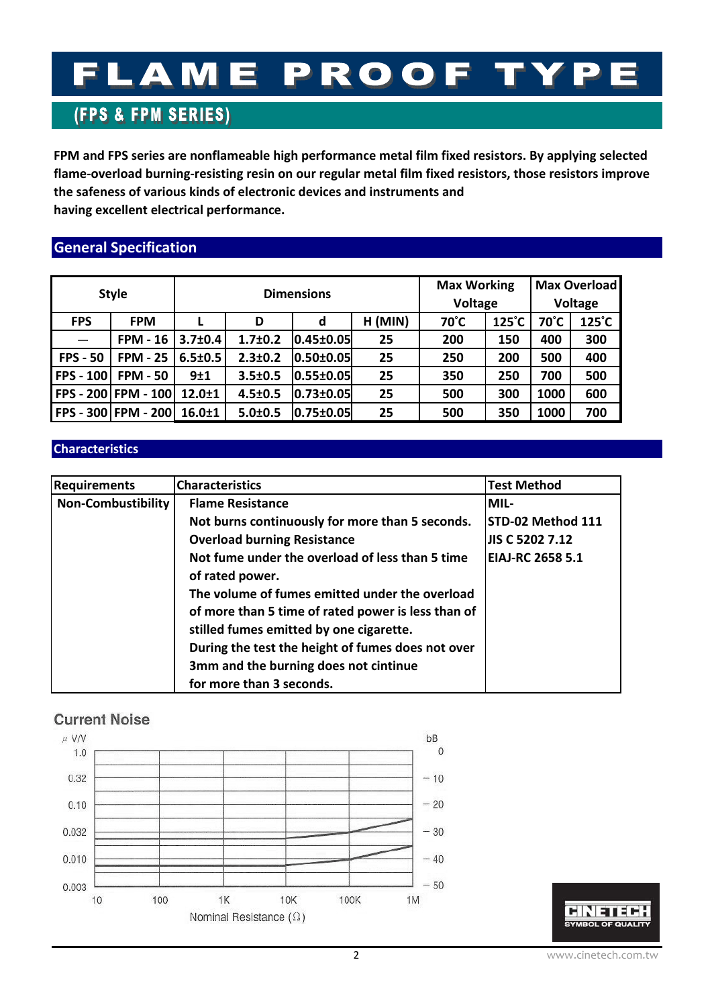## FLAME PROOF TY P

## **(FPS & FPM SERIES)**

**FPM and FPS series are nonflameable high performance metal film fixed resistors. By applying selected flame‐overload burning‐resisting resin on our regular metal film fixed resistors, those resistors improve the safeness of various kinds of electronic devices and instruments and having excellent electrical performance.**

## **General Specification**

| <b>Style</b>     |                            | <b>Dimensions</b> |               |                   |           | <b>Max Working</b><br>Voltage |                 | <b>Max Overload</b><br><b>Voltage</b> |                 |
|------------------|----------------------------|-------------------|---------------|-------------------|-----------|-------------------------------|-----------------|---------------------------------------|-----------------|
| <b>FPS</b>       | <b>FPM</b>                 | D                 |               | d                 | $H$ (MIN) | $70^{\circ}$ C                | $125^{\circ}$ C | 70°C                                  | $125^{\circ}$ C |
|                  | <b>FPM - 16</b>            | $3.7 \pm 0.4$     | $1.7 \pm 0.2$ | $ 0.45 \pm 0.05 $ | 25        | 200                           | 150             | 400                                   | 300             |
| <b>FPS - 50</b>  | <b>FPM - 25</b>            | $6.5 \pm 0.5$     | $2.3 \pm 0.2$ | $ 0.50 \pm 0.05 $ | 25        | 250                           | 200             | 500                                   | 400             |
| <b>FPS - 100</b> | <b>FPM - 50</b>            | 9±1               | $3.5 \pm 0.5$ | $ 0.55 \pm 0.05 $ | 25        | 350                           | 250             | 700                                   | 500             |
|                  | <b>FPS - 200 FPM - 100</b> | $12.0 \pm 1$      | $4.5 \pm 0.5$ | $0.73 \pm 0.05$   | 25        | 500                           | 300             | 1000                                  | 600             |
|                  | <b>FPS - 300 FPM - 200</b> | $16.0 \pm 1$      | $5.0 \pm 0.5$ | 0.75±0.05         | 25        | 500                           | 350             | 1000                                  | 700             |

#### **Characteristics**

| <b>Requirements</b> | <b>Characteristics</b>                             | <b>Test Method</b>      |
|---------------------|----------------------------------------------------|-------------------------|
| Non-Combustibility  | <b>Flame Resistance</b>                            | MIL-                    |
|                     | Not burns continuously for more than 5 seconds.    | STD-02 Method 111       |
|                     | <b>Overload burning Resistance</b>                 | JIS C 5202 7.12         |
|                     | Not fume under the overload of less than 5 time    | <b>EIAJ-RC 2658 5.1</b> |
| of rated power.     |                                                    |                         |
|                     | The volume of fumes emitted under the overload     |                         |
|                     | of more than 5 time of rated power is less than of |                         |
|                     | stilled fumes emitted by one cigarette.            |                         |
|                     | During the test the height of fumes does not over  |                         |
|                     | 3mm and the burning does not cintinue              |                         |
|                     | for more than 3 seconds.                           |                         |

#### **Current Noise**



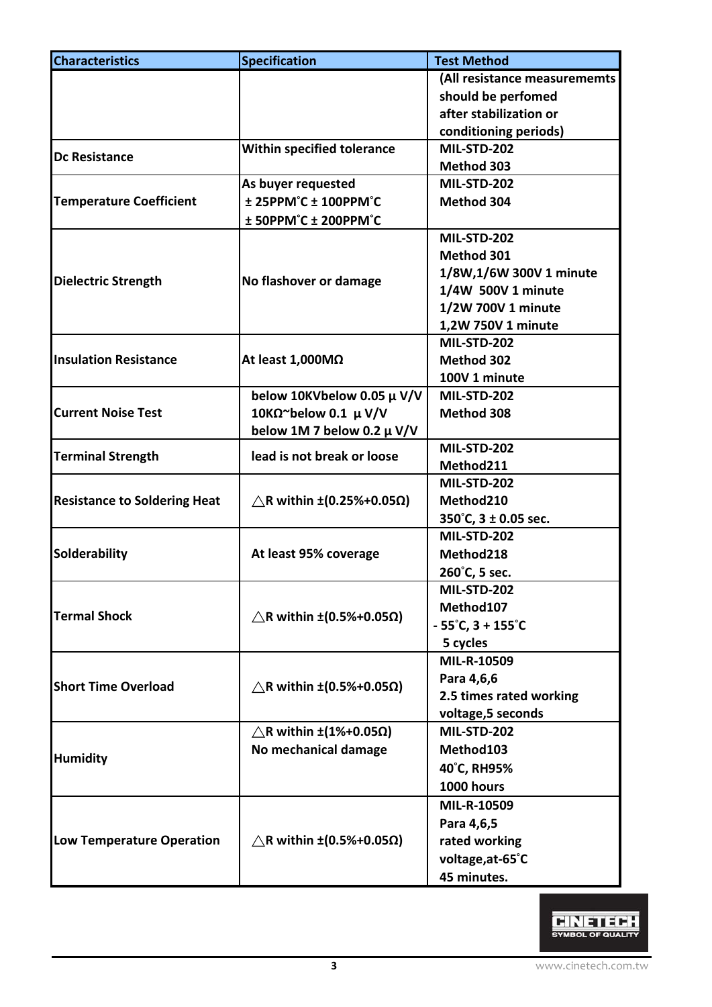| <b>Characteristics</b>              | <b>Specification</b>                         | <b>Test Method</b>                    |  |  |
|-------------------------------------|----------------------------------------------|---------------------------------------|--|--|
|                                     |                                              | (All resistance measurememts          |  |  |
|                                     |                                              | should be perfomed                    |  |  |
|                                     |                                              | after stabilization or                |  |  |
|                                     |                                              | conditioning periods)                 |  |  |
|                                     | Within specified tolerance                   | <b>MIL-STD-202</b>                    |  |  |
| <b>Dc Resistance</b>                |                                              | Method 303                            |  |  |
|                                     | As buyer requested                           | <b>MIL-STD-202</b>                    |  |  |
| <b>Temperature Coefficient</b>      | ± 25PPM°C ± 100PPM°C                         | Method 304                            |  |  |
|                                     | ± 50PPM°C ± 200PPM°C                         |                                       |  |  |
|                                     |                                              | <b>MIL-STD-202</b>                    |  |  |
|                                     |                                              | Method 301                            |  |  |
|                                     |                                              | 1/8W,1/6W 300V 1 minute               |  |  |
| <b>Dielectric Strength</b>          | No flashover or damage                       | 1/4W 500V 1 minute                    |  |  |
|                                     |                                              | 1/2W 700V 1 minute                    |  |  |
|                                     |                                              | 1,2W 750V 1 minute                    |  |  |
|                                     |                                              | <b>MIL-STD-202</b>                    |  |  |
| <b>Insulation Resistance</b>        | At least $1,000M\Omega$                      | Method 302                            |  |  |
|                                     |                                              | 100V 1 minute                         |  |  |
|                                     | below 10KVbelow 0.05 µ V/V                   | <b>MIL-STD-202</b>                    |  |  |
| <b>Current Noise Test</b>           | 10KΩ~below 0.1 $\mu$ V/V                     | Method 308                            |  |  |
|                                     | below 1M 7 below 0.2 $\mu$ V/V               |                                       |  |  |
|                                     |                                              | <b>MIL-STD-202</b>                    |  |  |
| <b>Terminal Strength</b>            | lead is not break or loose                   | Method211                             |  |  |
|                                     |                                              | <b>MIL-STD-202</b>                    |  |  |
| <b>Resistance to Soldering Heat</b> | $\triangle$ R within ±(0.25%+0.05 $\Omega$ ) | Method210                             |  |  |
|                                     |                                              | 350°C, 3 ± 0.05 sec.                  |  |  |
|                                     |                                              | <b>MIL-STD-202</b>                    |  |  |
| Solderability                       | At least 95% coverage                        | Method218                             |  |  |
|                                     |                                              | 260°C, 5 sec.                         |  |  |
|                                     |                                              | MIL-STD-202                           |  |  |
| <b>Termal Shock</b>                 |                                              | Method107                             |  |  |
|                                     | $\triangle$ R within ±(0.5%+0.05 $\Omega$ )  | $-55^{\circ}$ C, 3 + 155 $^{\circ}$ C |  |  |
|                                     |                                              | 5 cycles                              |  |  |
|                                     |                                              | MIL-R-10509                           |  |  |
| <b>Short Time Overload</b>          |                                              | Para 4,6,6                            |  |  |
|                                     | $\triangle$ R within ±(0.5%+0.05 $\Omega$ )  | 2.5 times rated working               |  |  |
|                                     |                                              | voltage, 5 seconds                    |  |  |
|                                     | $\triangle$ R within ±(1%+0.05 $\Omega$ )    | <b>MIL-STD-202</b>                    |  |  |
|                                     | No mechanical damage                         | Method103                             |  |  |
| <b>Humidity</b>                     |                                              | 40°C, RH95%                           |  |  |
|                                     |                                              | 1000 hours                            |  |  |
|                                     |                                              | MIL-R-10509                           |  |  |
|                                     |                                              | Para 4,6,5                            |  |  |
| <b>Low Temperature Operation</b>    | $\triangle$ R within ±(0.5%+0.05 $\Omega$ )  | rated working                         |  |  |
|                                     |                                              | voltage, at-65°C                      |  |  |
|                                     |                                              | 45 minutes.                           |  |  |
|                                     |                                              |                                       |  |  |